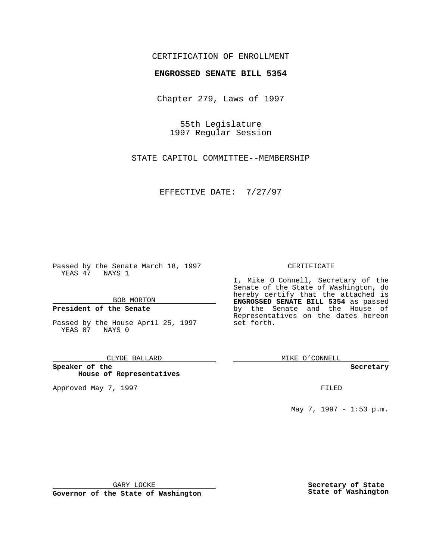# CERTIFICATION OF ENROLLMENT

# **ENGROSSED SENATE BILL 5354**

Chapter 279, Laws of 1997

55th Legislature 1997 Regular Session

STATE CAPITOL COMMITTEE--MEMBERSHIP

EFFECTIVE DATE: 7/27/97

Passed by the Senate March 18, 1997 YEAS 47 NAYS 1

BOB MORTON

## **President of the Senate**

Passed by the House April 25, 1997 YEAS 87 NAYS 0

CLYDE BALLARD

**Speaker of the House of Representatives**

Approved May 7, 1997 **FILED** 

### CERTIFICATE

I, Mike O Connell, Secretary of the Senate of the State of Washington, do hereby certify that the attached is **ENGROSSED SENATE BILL 5354** as passed by the Senate and the House of Representatives on the dates hereon set forth.

MIKE O'CONNELL

#### **Secretary**

May 7, 1997 - 1:53 p.m.

GARY LOCKE

**Governor of the State of Washington**

**Secretary of State State of Washington**